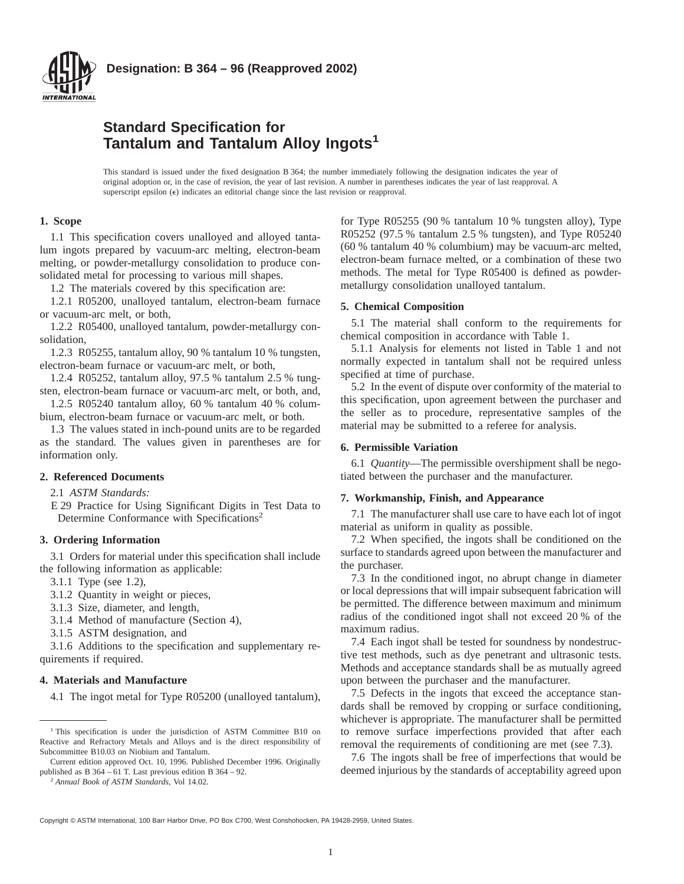

# **Standard Specification for Tantalum and Tantalum Alloy Ingots<sup>1</sup>**

This standard is issued under the fixed designation B 364; the number immediately following the designation indicates the year of original adoption or, in the case of revision, the year of last revision. A number in parentheses indicates the year of last reapproval. A superscript epsilon  $(\epsilon)$  indicates an editorial change since the last revision or reapproval.

# **1. Scope**

1.1 This specification covers unalloyed and alloyed tantalum ingots prepared by vacuum-arc melting, electron-beam melting, or powder-metallurgy consolidation to produce consolidated metal for processing to various mill shapes.

1.2 The materials covered by this specification are:

1.2.1 R05200, unalloyed tantalum, electron-beam furnace or vacuum-arc melt, or both,

1.2.2 R05400, unalloyed tantalum, powder-metallurgy consolidation,

1.2.3 R05255, tantalum alloy, 90 % tantalum 10 % tungsten, electron-beam furnace or vacuum-arc melt, or both,

1.2.4 R05252, tantalum alloy, 97.5 % tantalum 2.5 % tungsten, electron-beam furnace or vacuum-arc melt, or both, and,

1.2.5 R05240 tantalum alloy, 60 % tantalum 40 % columbium, electron-beam furnace or vacuum-arc melt, or both.

1.3 The values stated in inch-pound units are to be regarded as the standard. The values given in parentheses are for information only.

## **2. Referenced Documents**

2.1 *ASTM Standards:*

E 29 Practice for Using Significant Digits in Test Data to Determine Conformance with Specifications<sup>2</sup>

## **3. Ordering Information**

3.1 Orders for material under this specification shall include the following information as applicable:

3.1.1 Type (see 1.2),

3.1.2 Quantity in weight or pieces,

3.1.3 Size, diameter, and length,

3.1.4 Method of manufacture (Section 4),

3.1.5 ASTM designation, and

3.1.6 Additions to the specification and supplementary requirements if required.

#### **4. Materials and Manufacture**

4.1 The ingot metal for Type R05200 (unalloyed tantalum),

<sup>2</sup> *Annual Book of ASTM Standards*, Vol 14.02.

for Type R05255 (90 % tantalum 10 % tungsten alloy), Type R05252 (97.5 % tantalum 2.5 % tungsten), and Type R05240 (60 % tantalum 40 % columbium) may be vacuum-arc melted, electron-beam furnace melted, or a combination of these two methods. The metal for Type R05400 is defined as powdermetallurgy consolidation unalloyed tantalum.

#### **5. Chemical Composition**

5.1 The material shall conform to the requirements for chemical composition in accordance with Table 1.

5.1.1 Analysis for elements not listed in Table 1 and not normally expected in tantalum shall not be required unless specified at time of purchase.

5.2 In the event of dispute over conformity of the material to this specification, upon agreement between the purchaser and the seller as to procedure, representative samples of the material may be submitted to a referee for analysis.

#### **6. Permissible Variation**

6.1 *Quantity*—The permissible overshipment shall be negotiated between the purchaser and the manufacturer.

#### **7. Workmanship, Finish, and Appearance**

7.1 The manufacturer shall use care to have each lot of ingot material as uniform in quality as possible.

7.2 When specified, the ingots shall be conditioned on the surface to standards agreed upon between the manufacturer and the purchaser.

7.3 In the conditioned ingot, no abrupt change in diameter or local depressions that will impair subsequent fabrication will be permitted. The difference between maximum and minimum radius of the conditioned ingot shall not exceed 20 % of the maximum radius.

7.4 Each ingot shall be tested for soundness by nondestructive test methods, such as dye penetrant and ultrasonic tests. Methods and acceptance standards shall be as mutually agreed upon between the purchaser and the manufacturer.

7.5 Defects in the ingots that exceed the acceptance standards shall be removed by cropping or surface conditioning, whichever is appropriate. The manufacturer shall be permitted to remove surface imperfections provided that after each removal the requirements of conditioning are met (see 7.3).

7.6 The ingots shall be free of imperfections that would be deemed injurious by the standards of acceptability agreed upon

Copyright © ASTM International, 100 Barr Harbor Drive, PO Box C700, West Conshohocken, PA 19428-2959, United States.

<sup>&</sup>lt;sup>1</sup> This specification is under the jurisdiction of ASTM Committee B10 on Reactive and Refractory Metals and Alloys and is the direct responsibility of Subcommittee B10.03 on Niobium and Tantalum.

Current edition approved Oct. 10, 1996. Published December 1996. Originally published as B 364 – 61 T. Last previous edition B 364 – 92.